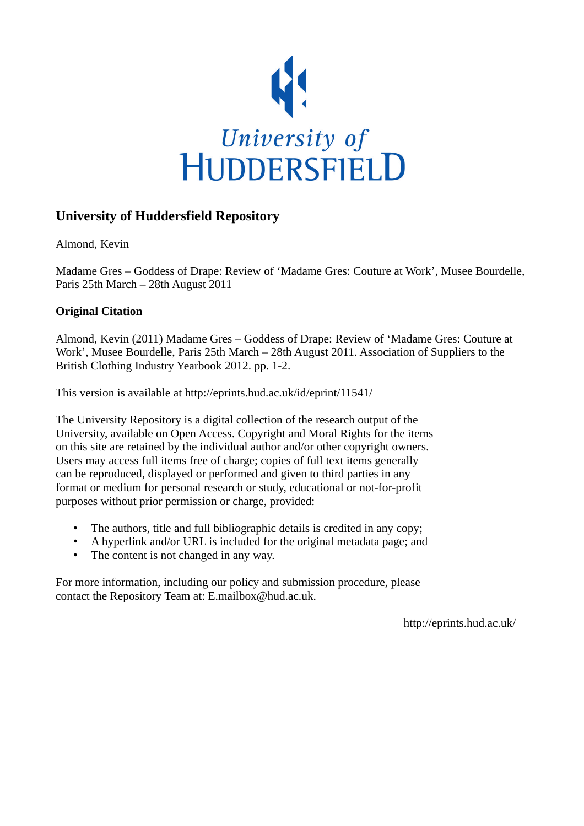

## **University of Huddersfield Repository**

Almond, Kevin

Madame Gres – Goddess of Drape: Review of 'Madame Gres: Couture at Work', Musee Bourdelle, Paris 25th March – 28th August 2011

## **Original Citation**

Almond, Kevin (2011) Madame Gres – Goddess of Drape: Review of 'Madame Gres: Couture at Work', Musee Bourdelle, Paris 25th March – 28th August 2011. Association of Suppliers to the British Clothing Industry Yearbook 2012. pp. 1-2.

This version is available at http://eprints.hud.ac.uk/id/eprint/11541/

The University Repository is a digital collection of the research output of the University, available on Open Access. Copyright and Moral Rights for the items on this site are retained by the individual author and/or other copyright owners. Users may access full items free of charge; copies of full text items generally can be reproduced, displayed or performed and given to third parties in any format or medium for personal research or study, educational or not-for-profit purposes without prior permission or charge, provided:

- The authors, title and full bibliographic details is credited in any copy;
- A hyperlink and/or URL is included for the original metadata page; and
- The content is not changed in any way.

For more information, including our policy and submission procedure, please contact the Repository Team at: E.mailbox@hud.ac.uk.

http://eprints.hud.ac.uk/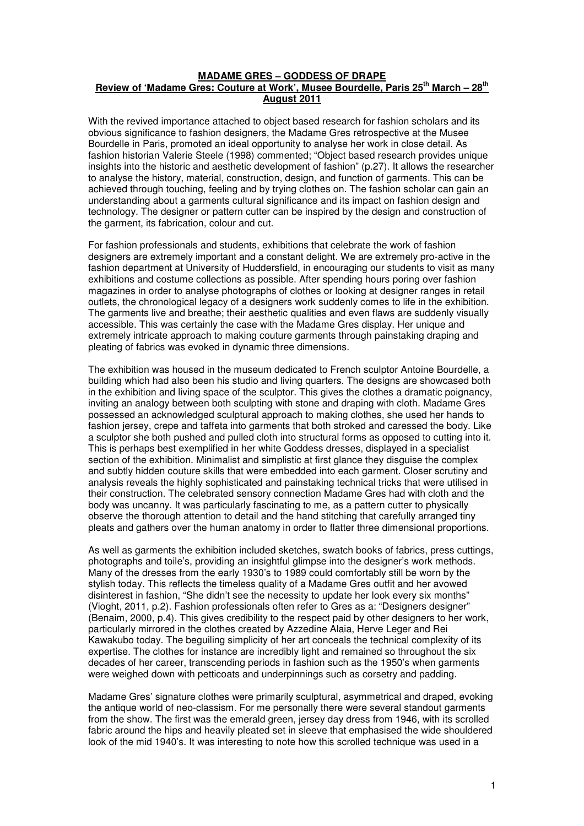## **MADAME GRES – GODDESS OF DRAPE Review of 'Madame Gres: Couture at Work', Musee Bourdelle, Paris 25th March – 28th August 2011**

With the revived importance attached to object based research for fashion scholars and its obvious significance to fashion designers, the Madame Gres retrospective at the Musee Bourdelle in Paris, promoted an ideal opportunity to analyse her work in close detail. As fashion historian Valerie Steele (1998) commented; "Object based research provides unique insights into the historic and aesthetic development of fashion" (p.27). It allows the researcher to analyse the history, material, construction, design, and function of garments. This can be achieved through touching, feeling and by trying clothes on. The fashion scholar can gain an understanding about a garments cultural significance and its impact on fashion design and technology. The designer or pattern cutter can be inspired by the design and construction of the garment, its fabrication, colour and cut.

For fashion professionals and students, exhibitions that celebrate the work of fashion designers are extremely important and a constant delight. We are extremely pro-active in the fashion department at University of Huddersfield, in encouraging our students to visit as many exhibitions and costume collections as possible. After spending hours poring over fashion magazines in order to analyse photographs of clothes or looking at designer ranges in retail outlets, the chronological legacy of a designers work suddenly comes to life in the exhibition. The garments live and breathe; their aesthetic qualities and even flaws are suddenly visually accessible. This was certainly the case with the Madame Gres display. Her unique and extremely intricate approach to making couture garments through painstaking draping and pleating of fabrics was evoked in dynamic three dimensions.

The exhibition was housed in the museum dedicated to French sculptor Antoine Bourdelle, a building which had also been his studio and living quarters. The designs are showcased both in the exhibition and living space of the sculptor. This gives the clothes a dramatic poignancy, inviting an analogy between both sculpting with stone and draping with cloth. Madame Gres possessed an acknowledged sculptural approach to making clothes, she used her hands to fashion jersey, crepe and taffeta into garments that both stroked and caressed the body. Like a sculptor she both pushed and pulled cloth into structural forms as opposed to cutting into it. This is perhaps best exemplified in her white Goddess dresses, displayed in a specialist section of the exhibition. Minimalist and simplistic at first glance they disquise the complex and subtly hidden couture skills that were embedded into each garment. Closer scrutiny and analysis reveals the highly sophisticated and painstaking technical tricks that were utilised in their construction. The celebrated sensory connection Madame Gres had with cloth and the body was uncanny. It was particularly fascinating to me, as a pattern cutter to physically observe the thorough attention to detail and the hand stitching that carefully arranged tiny pleats and gathers over the human anatomy in order to flatter three dimensional proportions.

As well as garments the exhibition included sketches, swatch books of fabrics, press cuttings, photographs and toile's, providing an insightful glimpse into the designer's work methods. Many of the dresses from the early 1930's to 1989 could comfortably still be worn by the stylish today. This reflects the timeless quality of a Madame Gres outfit and her avowed disinterest in fashion, "She didn't see the necessity to update her look every six months" (Vioght, 2011, p.2). Fashion professionals often refer to Gres as a: "Designers designer" (Benaim, 2000, p.4). This gives credibility to the respect paid by other designers to her work, particularly mirrored in the clothes created by Azzedine Alaia, Herve Leger and Rei Kawakubo today. The beguiling simplicity of her art conceals the technical complexity of its expertise. The clothes for instance are incredibly light and remained so throughout the six decades of her career, transcending periods in fashion such as the 1950's when garments were weighed down with petticoats and underpinnings such as corsetry and padding.

Madame Gres' signature clothes were primarily sculptural, asymmetrical and draped, evoking the antique world of neo-classism. For me personally there were several standout garments from the show. The first was the emerald green, jersey day dress from 1946, with its scrolled fabric around the hips and heavily pleated set in sleeve that emphasised the wide shouldered look of the mid 1940's. It was interesting to note how this scrolled technique was used in a